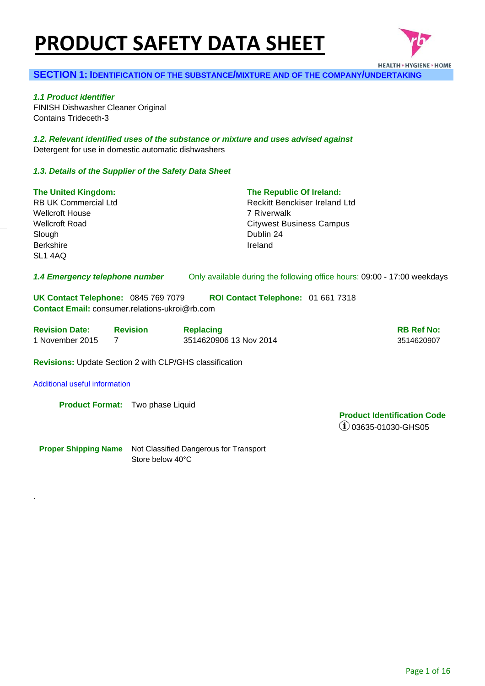# **PRODUCT SAFETY DATA SHEET**



## **SECTION 1: IDENTIFICATION OF THE SUBSTANCE/MIXTURE AND OF THE COMPANY/UNDERTAKING**

*1.1 Product identifier*  FINISH Dishwasher Cleaner Original Contains Trideceth-3

*1.2. Relevant identified uses of the substance or mixture and uses advised against* Detergent for use in domestic automatic dishwashers

#### *1.3. Details of the Supplier of the Safety Data Sheet*

| <b>The United Kingdom:</b>                                                                   |                 | The Republic Of Ireland:                                                 |                   |
|----------------------------------------------------------------------------------------------|-----------------|--------------------------------------------------------------------------|-------------------|
| <b>RB UK Commercial Ltd</b>                                                                  |                 | Reckitt Benckiser Ireland Ltd                                            |                   |
| <b>Wellcroft House</b>                                                                       |                 | 7 Riverwalk                                                              |                   |
| <b>Wellcroft Road</b>                                                                        |                 | <b>Citywest Business Campus</b>                                          |                   |
| Slough                                                                                       |                 | Dublin 24                                                                |                   |
| <b>Berkshire</b>                                                                             |                 | Ireland                                                                  |                   |
| SL1 4AQ                                                                                      |                 |                                                                          |                   |
|                                                                                              |                 |                                                                          |                   |
| 1.4 Emergency telephone number                                                               |                 | Only available during the following office hours: 09:00 - 17:00 weekdays |                   |
| UK Contact Telephone: 0845 769 7079<br><b>Contact Email:</b> consumer.relations-ukroi@rb.com |                 | ROI Contact Telephone: 01 661 7318                                       |                   |
| <b>Revision Date:</b>                                                                        | <b>Revision</b> | <b>Replacing</b>                                                         | <b>RB Ref No:</b> |
| 1 November 2015                                                                              | 7               | 3514620906 13 Nov 2014                                                   | 3514620907        |
| <b>Revisions:</b> Update Section 2 with CLP/GHS classification                               |                 |                                                                          |                   |

Additional useful information

.

**Product Format:** Two phase Liquid

**Product Identification Code**  03635-01030-GHS05

**Proper Shipping Name** Not Classified Dangerous for Transport Store below 40°C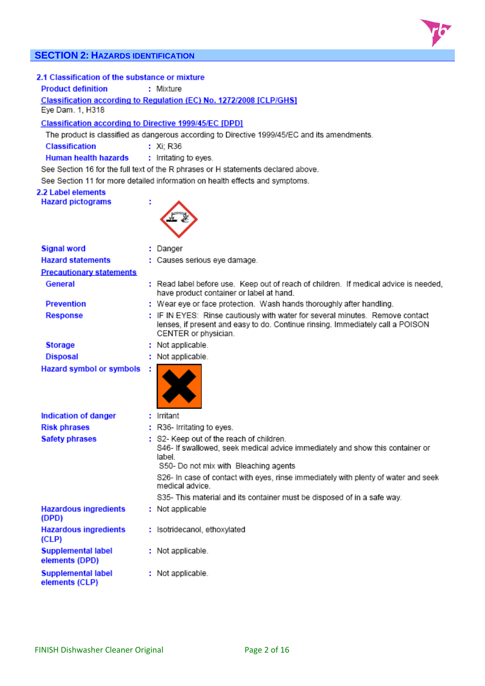# **SECTION 2: HAZARDS IDENTIFICATION**

| 2.1 Classification of the substance or mixture<br><b>Product definition</b><br>: Mixture<br>Classification according to Regulation (EC) No. 1272/2008 [CLP/GHS]<br>Eye Dam. 1, H318 |                                                                                              |                                                                                                                                                                                                                                                                                                                                                                 |  |  |  |  |  |
|-------------------------------------------------------------------------------------------------------------------------------------------------------------------------------------|----------------------------------------------------------------------------------------------|-----------------------------------------------------------------------------------------------------------------------------------------------------------------------------------------------------------------------------------------------------------------------------------------------------------------------------------------------------------------|--|--|--|--|--|
|                                                                                                                                                                                     | <b>Classification according to Directive 1999/45/EC [DPD]</b>                                |                                                                                                                                                                                                                                                                                                                                                                 |  |  |  |  |  |
|                                                                                                                                                                                     | The product is classified as dangerous according to Directive 1999/45/EC and its amendments. |                                                                                                                                                                                                                                                                                                                                                                 |  |  |  |  |  |
| <b>Classification</b>                                                                                                                                                               |                                                                                              | : $Xi$ : R36                                                                                                                                                                                                                                                                                                                                                    |  |  |  |  |  |
| <b>Human health hazards</b>                                                                                                                                                         |                                                                                              | : Irritating to eyes.                                                                                                                                                                                                                                                                                                                                           |  |  |  |  |  |
|                                                                                                                                                                                     |                                                                                              | See Section 16 for the full text of the R phrases or H statements declared above.                                                                                                                                                                                                                                                                               |  |  |  |  |  |
|                                                                                                                                                                                     |                                                                                              | See Section 11 for more detailed information on health effects and symptoms.                                                                                                                                                                                                                                                                                    |  |  |  |  |  |
| 2.2 Label elements                                                                                                                                                                  |                                                                                              |                                                                                                                                                                                                                                                                                                                                                                 |  |  |  |  |  |
| <b>Hazard pictograms</b>                                                                                                                                                            |                                                                                              |                                                                                                                                                                                                                                                                                                                                                                 |  |  |  |  |  |
|                                                                                                                                                                                     |                                                                                              |                                                                                                                                                                                                                                                                                                                                                                 |  |  |  |  |  |
|                                                                                                                                                                                     |                                                                                              |                                                                                                                                                                                                                                                                                                                                                                 |  |  |  |  |  |
| <b>Signal word</b>                                                                                                                                                                  |                                                                                              | : Danger                                                                                                                                                                                                                                                                                                                                                        |  |  |  |  |  |
| <b>Hazard statements</b>                                                                                                                                                            |                                                                                              | : Causes serious eye damage.                                                                                                                                                                                                                                                                                                                                    |  |  |  |  |  |
| <b>Precautionary statements</b>                                                                                                                                                     |                                                                                              |                                                                                                                                                                                                                                                                                                                                                                 |  |  |  |  |  |
| General                                                                                                                                                                             |                                                                                              | : Read label before use. Keep out of reach of children. If medical advice is needed,<br>have product container or label at hand.                                                                                                                                                                                                                                |  |  |  |  |  |
| <b>Prevention</b>                                                                                                                                                                   |                                                                                              | : Wear eye or face protection. Wash hands thoroughly after handling.                                                                                                                                                                                                                                                                                            |  |  |  |  |  |
| <b>Response</b>                                                                                                                                                                     |                                                                                              | : IF IN EYES: Rinse cautiously with water for several minutes. Remove contact<br>lenses, if present and easy to do. Continue rinsing. Immediately call a POISON<br>CENTER or physician.                                                                                                                                                                         |  |  |  |  |  |
| <b>Storage</b>                                                                                                                                                                      |                                                                                              | : Not applicable.                                                                                                                                                                                                                                                                                                                                               |  |  |  |  |  |
| <b>Disposal</b>                                                                                                                                                                     |                                                                                              | : Not applicable.                                                                                                                                                                                                                                                                                                                                               |  |  |  |  |  |
| <b>Hazard symbol or symbols</b>                                                                                                                                                     |                                                                                              |                                                                                                                                                                                                                                                                                                                                                                 |  |  |  |  |  |
| <b>Indication of danger</b>                                                                                                                                                         |                                                                                              | Irritant                                                                                                                                                                                                                                                                                                                                                        |  |  |  |  |  |
| <b>Risk phrases</b>                                                                                                                                                                 |                                                                                              | : R36- Irritating to eyes.                                                                                                                                                                                                                                                                                                                                      |  |  |  |  |  |
| <b>Safety phrases</b>                                                                                                                                                               |                                                                                              | : S2- Keep out of the reach of children.<br>S46- If swallowed, seek medical advice immediately and show this container or<br>label.<br>S50- Do not mix with Bleaching agents<br>S26- In case of contact with eyes, rinse immediately with plenty of water and seek<br>medical advice<br>S35- This material and its container must be disposed of in a safe way. |  |  |  |  |  |
| <b>Hazardous ingredients</b><br>(DPD)                                                                                                                                               |                                                                                              | : Not applicable                                                                                                                                                                                                                                                                                                                                                |  |  |  |  |  |
| <b>Hazardous ingredients</b><br>(CLP)                                                                                                                                               |                                                                                              | : Isotridecanol, ethoxylated                                                                                                                                                                                                                                                                                                                                    |  |  |  |  |  |
| <b>Supplemental label</b><br>elements (DPD)                                                                                                                                         |                                                                                              | : Not applicable.                                                                                                                                                                                                                                                                                                                                               |  |  |  |  |  |
| <b>Supplemental label</b><br>elements (CLP)                                                                                                                                         |                                                                                              | : Not applicable.                                                                                                                                                                                                                                                                                                                                               |  |  |  |  |  |

 $75$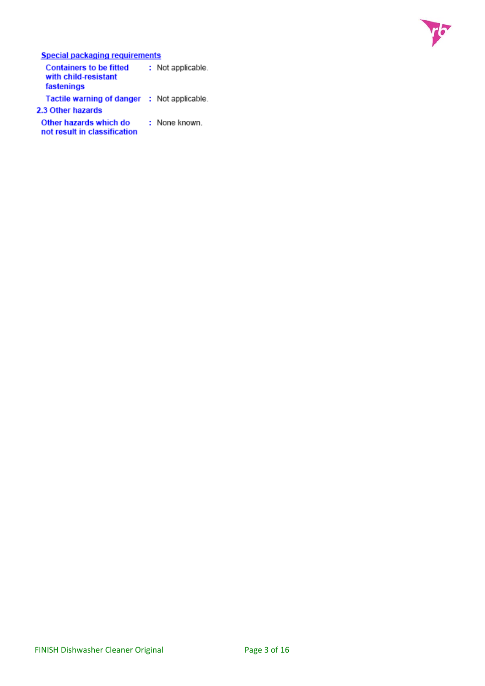

**Special packaging requirements** 

**Containers to be fitted** : Not applicable. with child-resistant fastenings Tactile warning of danger : Not applicable. 2.3 Other hazards

Other hazards which do : None known. not result in classification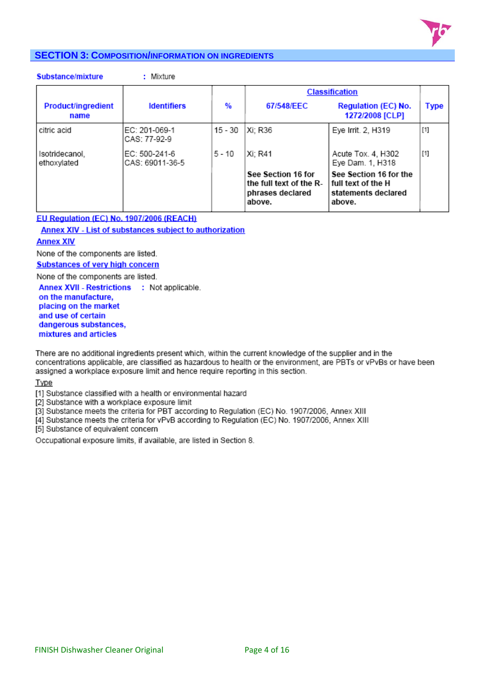

## **SECTION 3: COMPOSITION/INFORMATION ON INGREDIENTS**

|  | Substance/mixture |  |
|--|-------------------|--|

: Mixture

|                                   |                                  | <b>Classification</b> |                                                                             |                                                                               |       |  |
|-----------------------------------|----------------------------------|-----------------------|-----------------------------------------------------------------------------|-------------------------------------------------------------------------------|-------|--|
| <b>Product/ingredient</b><br>name | <b>Identifiers</b>               | %                     | 67/548/EEC                                                                  | <b>Regulation (EC) No.</b><br>1272/2008 [CLP]                                 | Type  |  |
| citric acid                       | EC: 201-069-1<br>CAS: 77-92-9    | $15 - 30$             | Xi: R36                                                                     | Eye Irrit. 2, H319                                                            | $[1]$ |  |
| Isotridecanol,<br>ethoxylated     | EC: 500-241-6<br>CAS: 69011-36-5 | $5 - 10$              | Xi: R41                                                                     | Acute Tox. 4, H302<br>Eye Dam. 1, H318                                        | $[1]$ |  |
|                                   |                                  |                       | See Section 16 for<br>the full text of the R-<br>phrases declared<br>above. | See Section 16 for the<br>full text of the H<br>statements declared<br>above. |       |  |

## EU Regulation (EC) No. 1907/2006 (REACH)

**Annex XIV - List of substances subject to authorization** 

#### **Annex XIV**

None of the components are listed.

**Substances of very high concern** 

None of the components are listed.

Annex XVII - Restrictions : Not applicable. on the manufacture, placing on the market and use of certain dangerous substances, mixtures and articles

There are no additional ingredients present which, within the current knowledge of the supplier and in the concentrations applicable, are classified as hazardous to health or the environment, are PBTs or vPvBs or have been assigned a workplace exposure limit and hence require reporting in this section.

Type

[1] Substance classified with a health or environmental hazard

[2] Substance with a workplace exposure limit

[3] Substance meets the criteria for PBT according to Regulation (EC) No. 1907/2006, Annex XIII

[4] Substance meets the criteria for vPvB according to Regulation (EC) No. 1907/2006, Annex XIII

[5] Substance of equivalent concern

Occupational exposure limits, if available, are listed in Section 8.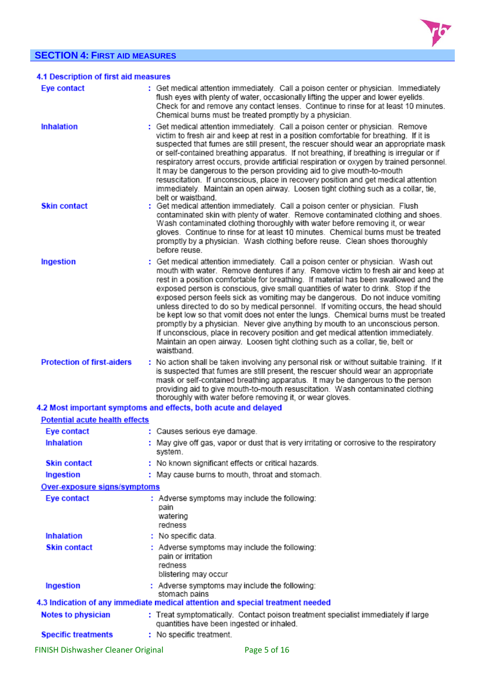# **SECTION 4: FIRST AID MEASURES**



| 4.1 Description of first aid measures |                                                                                                                                                                                                                                                                                                                                                                                                                                                                                                                                                                                                                                                                                                                                                                                                                                                                                        |
|---------------------------------------|----------------------------------------------------------------------------------------------------------------------------------------------------------------------------------------------------------------------------------------------------------------------------------------------------------------------------------------------------------------------------------------------------------------------------------------------------------------------------------------------------------------------------------------------------------------------------------------------------------------------------------------------------------------------------------------------------------------------------------------------------------------------------------------------------------------------------------------------------------------------------------------|
| <b>Eye contact</b>                    | : Get medical attention immediately. Call a poison center or physician. Immediately<br>flush eyes with plenty of water, occasionally lifting the upper and lower eyelids.<br>Check for and remove any contact lenses. Continue to rinse for at least 10 minutes.<br>Chemical burns must be treated promptly by a physician.                                                                                                                                                                                                                                                                                                                                                                                                                                                                                                                                                            |
| <b>Inhalation</b>                     | : Get medical attention immediately. Call a poison center or physician. Remove<br>victim to fresh air and keep at rest in a position comfortable for breathing. If it is<br>suspected that fumes are still present, the rescuer should wear an appropriate mask<br>or self-contained breathing apparatus. If not breathing, if breathing is irregular or if<br>respiratory arrest occurs, provide artificial respiration or oxygen by trained personnel.<br>It may be dangerous to the person providing aid to give mouth-to-mouth<br>resuscitation. If unconscious, place in recovery position and get medical attention<br>immediately. Maintain an open airway. Loosen tight clothing such as a collar, tie,<br>belt or waistband.                                                                                                                                                  |
| <b>Skin contact</b>                   | : Get medical attention immediately. Call a poison center or physician. Flush<br>contaminated skin with plenty of water. Remove contaminated clothing and shoes.<br>Wash contaminated clothing thoroughly with water before removing it, or wear<br>gloves. Continue to rinse for at least 10 minutes. Chemical burns must be treated<br>promptly by a physician. Wash clothing before reuse. Clean shoes thoroughly<br>before reuse                                                                                                                                                                                                                                                                                                                                                                                                                                                   |
| Ingestion                             | : Get medical attention immediately. Call a poison center or physician. Wash out<br>mouth with water. Remove dentures if any. Remove victim to fresh air and keep at<br>rest in a position comfortable for breathing. If material has been swallowed and the<br>exposed person is conscious, give small quantities of water to drink. Stop if the<br>exposed person feels sick as vomiting may be dangerous. Do not induce vomiting<br>unless directed to do so by medical personnel. If vomiting occurs, the head should<br>be kept low so that vomit does not enter the lungs. Chemical burns must be treated<br>promptly by a physician. Never give anything by mouth to an unconscious person.<br>If unconscious, place in recovery position and get medical attention immediately.<br>Maintain an open airway. Loosen tight clothing such as a collar, tie, belt or<br>waistband. |
| <b>Protection of first-aiders</b>     | : No action shall be taken involving any personal risk or without suitable training. If it<br>is suspected that fumes are still present, the rescuer should wear an appropriate<br>mask or self-contained breathing apparatus. It may be dangerous to the person<br>providing aid to give mouth-to-mouth resuscitation. Wash contaminated clothing<br>thoroughly with water before removing it, or wear gloves.                                                                                                                                                                                                                                                                                                                                                                                                                                                                        |
|                                       | 4.2 Most important symptoms and effects, both acute and delayed                                                                                                                                                                                                                                                                                                                                                                                                                                                                                                                                                                                                                                                                                                                                                                                                                        |
| <b>Potential acute health effects</b> |                                                                                                                                                                                                                                                                                                                                                                                                                                                                                                                                                                                                                                                                                                                                                                                                                                                                                        |
| Eye contact                           | : Causes serious eye damage.                                                                                                                                                                                                                                                                                                                                                                                                                                                                                                                                                                                                                                                                                                                                                                                                                                                           |
| <b>Inhalation</b>                     | May give off gas, vapor or dust that is very irritating or corrosive to the respiratory<br>system.                                                                                                                                                                                                                                                                                                                                                                                                                                                                                                                                                                                                                                                                                                                                                                                     |
| <b>Skin contact</b>                   | : No known significant effects or critical hazards.                                                                                                                                                                                                                                                                                                                                                                                                                                                                                                                                                                                                                                                                                                                                                                                                                                    |
| Ingestion                             | : May cause burns to mouth, throat and stomach.                                                                                                                                                                                                                                                                                                                                                                                                                                                                                                                                                                                                                                                                                                                                                                                                                                        |
| Over-exposure signs/symptoms          |                                                                                                                                                                                                                                                                                                                                                                                                                                                                                                                                                                                                                                                                                                                                                                                                                                                                                        |
| Eye contact                           | : Adverse symptoms may include the following:<br>pain<br>watering<br>redness                                                                                                                                                                                                                                                                                                                                                                                                                                                                                                                                                                                                                                                                                                                                                                                                           |
| <b>Inhalation</b>                     | : No specific data.                                                                                                                                                                                                                                                                                                                                                                                                                                                                                                                                                                                                                                                                                                                                                                                                                                                                    |
| <b>Skin contact</b>                   | : Adverse symptoms may include the following:<br>pain or irritation<br>redness<br>blistering may occur                                                                                                                                                                                                                                                                                                                                                                                                                                                                                                                                                                                                                                                                                                                                                                                 |
| Ingestion                             | : Adverse symptoms may include the following:                                                                                                                                                                                                                                                                                                                                                                                                                                                                                                                                                                                                                                                                                                                                                                                                                                          |
|                                       | stomach pains<br>4.3 Indication of any immediate medical attention and special treatment needed                                                                                                                                                                                                                                                                                                                                                                                                                                                                                                                                                                                                                                                                                                                                                                                        |
| <b>Notes to physician</b>             | : Treat symptomatically. Contact poison treatment specialist immediately if large<br>quantities have been ingested or inhaled.                                                                                                                                                                                                                                                                                                                                                                                                                                                                                                                                                                                                                                                                                                                                                         |
| <b>Specific treatments</b>            | : No specific treatment.                                                                                                                                                                                                                                                                                                                                                                                                                                                                                                                                                                                                                                                                                                                                                                                                                                                               |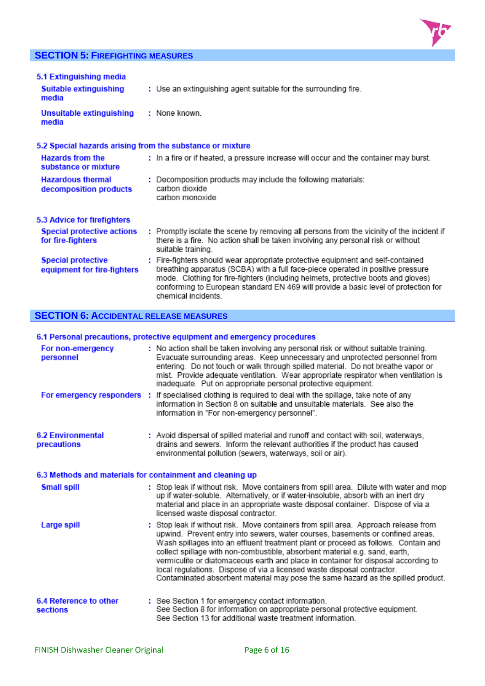## **SECTION 5: FIREFIGHTING MEASURES**



| 5.1 Extinguishing media<br><b>Suitable extinguishing</b><br>media | : Use an extinguishing agent suitable for the surrounding fire.                                                                                                                                                                                                                                                                                                       |
|-------------------------------------------------------------------|-----------------------------------------------------------------------------------------------------------------------------------------------------------------------------------------------------------------------------------------------------------------------------------------------------------------------------------------------------------------------|
| Unsuitable extinguishing<br>media                                 | : None known                                                                                                                                                                                                                                                                                                                                                          |
| 5.2 Special hazards arising from the substance or mixture         |                                                                                                                                                                                                                                                                                                                                                                       |
| <b>Hazards from the</b><br>substance or mixture                   | : In a fire or if heated, a pressure increase will occur and the container may burst.                                                                                                                                                                                                                                                                                 |
| <b>Hazardous thermal</b><br>decomposition products                | : Decomposition products may include the following materials:<br>carbon dioxide<br>carbon monoxide                                                                                                                                                                                                                                                                    |
| 5.3 Advice for firefighters                                       |                                                                                                                                                                                                                                                                                                                                                                       |
| <b>Special protective actions</b><br>for fire-fighters            | : Promptly isolate the scene by removing all persons from the vicinity of the incident if<br>there is a fire. No action shall be taken involving any personal risk or without<br>suitable training.                                                                                                                                                                   |
| <b>Special protective</b><br>equipment for fire-fighters          | : Fire-fighters should wear appropriate protective equipment and self-contained<br>breathing apparatus (SCBA) with a full face-piece operated in positive pressure<br>mode. Clothing for fire-fighters (including helmets, protective boots and gloves)<br>conforming to European standard EN 469 will provide a basic level of protection for<br>chemical incidents. |

## **SECTION 6: ACCIDENTAL RELEASE MEASURES**

## 6.1 Personal precautions, protective equipment and emergency procedures

| For non-emergency<br>personnel                            |  | : No action shall be taken involving any personal risk or without suitable training.<br>Evacuate surrounding areas. Keep unnecessary and unprotected personnel from<br>entering. Do not touch or walk through spilled material. Do not breathe vapor or<br>mist. Provide adequate ventilation. Wear appropriate respirator when ventilation is<br>inadequate. Put on appropriate personal protective equipment.                                                                                                                                                                                 |  |  |  |  |  |
|-----------------------------------------------------------|--|-------------------------------------------------------------------------------------------------------------------------------------------------------------------------------------------------------------------------------------------------------------------------------------------------------------------------------------------------------------------------------------------------------------------------------------------------------------------------------------------------------------------------------------------------------------------------------------------------|--|--|--|--|--|
| For emergency responders :                                |  | If specialised clothing is required to deal with the spillage, take note of any<br>information in Section 8 on suitable and unsuitable materials. See also the<br>information in "For non-emergency personnel".                                                                                                                                                                                                                                                                                                                                                                                 |  |  |  |  |  |
| <b>6.2 Environmental</b><br>precautions                   |  | : Avoid dispersal of spilled material and runoff and contact with soil, waterways,<br>drains and sewers. Inform the relevant authorities if the product has caused<br>environmental pollution (sewers, waterways, soil or air).                                                                                                                                                                                                                                                                                                                                                                 |  |  |  |  |  |
| 6.3 Methods and materials for containment and cleaning up |  |                                                                                                                                                                                                                                                                                                                                                                                                                                                                                                                                                                                                 |  |  |  |  |  |
| <b>Small spill</b>                                        |  | : Stop leak if without risk. Move containers from spill area. Dilute with water and mop<br>up if water-soluble. Alternatively, or if water-insoluble, absorb with an inert dry<br>material and place in an appropriate waste disposal container. Dispose of via a<br>licensed waste disposal contractor.                                                                                                                                                                                                                                                                                        |  |  |  |  |  |
| Large spill                                               |  | : Stop leak if without risk. Move containers from spill area. Approach release from<br>upwind. Prevent entry into sewers, water courses, basements or confined areas.<br>Wash spillages into an effluent treatment plant or proceed as follows. Contain and<br>collect spillage with non-combustible, absorbent material e.g. sand, earth,<br>vermiculite or diatomaceous earth and place in container for disposal according to<br>local regulations. Dispose of via a licensed waste disposal contractor.<br>Contaminated absorbent material may pose the same hazard as the spilled product. |  |  |  |  |  |
| 6.4 Reference to other<br><b>sections</b>                 |  | : See Section 1 for emergency contact information.<br>See Section 8 for information on appropriate personal protective equipment.<br>See Section 13 for additional waste treatment information.                                                                                                                                                                                                                                                                                                                                                                                                 |  |  |  |  |  |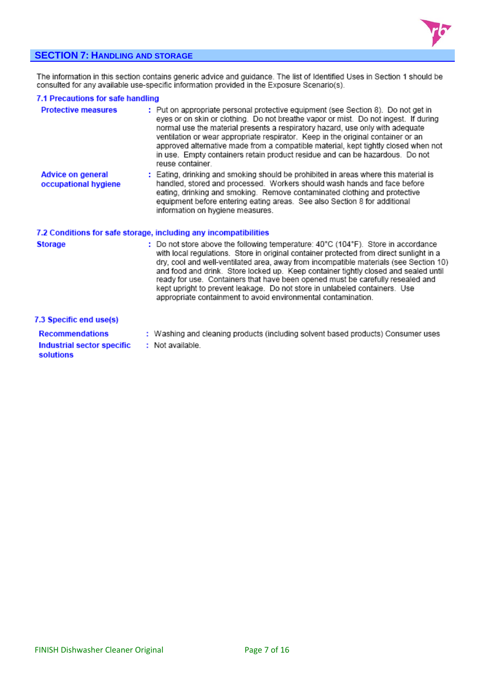

## **SECTION 7: HANDLING AND STORAGE**

The information in this section contains generic advice and guidance. The list of Identified Uses in Section 1 should be<br>consulted for any available use-specific information provided in the Exposure Scenario(s).

#### 7.1 Precautions for safe handling

| <b>Protective measures</b>                       | : Put on appropriate personal protective equipment (see Section 8). Do not get in<br>eyes or on skin or clothing. Do not breathe vapor or mist. Do not ingest. If during<br>normal use the material presents a respiratory hazard, use only with adequate<br>ventilation or wear appropriate respirator. Keep in the original container or an<br>approved alternative made from a compatible material, kept tightly closed when not<br>in use. Empty containers retain product residue and can be hazardous. Do not<br>reuse container.                                                       |
|--------------------------------------------------|-----------------------------------------------------------------------------------------------------------------------------------------------------------------------------------------------------------------------------------------------------------------------------------------------------------------------------------------------------------------------------------------------------------------------------------------------------------------------------------------------------------------------------------------------------------------------------------------------|
| <b>Advice on general</b><br>occupational hygiene | : Eating, drinking and smoking should be prohibited in areas where this material is<br>handled, stored and processed. Workers should wash hands and face before<br>eating, drinking and smoking. Remove contaminated clothing and protective<br>equipment before entering eating areas. See also Section 8 for additional<br>information on hygiene measures.                                                                                                                                                                                                                                 |
|                                                  | 7.2 Conditions for safe storage, including any incompatibilities                                                                                                                                                                                                                                                                                                                                                                                                                                                                                                                              |
| <b>Storage</b>                                   | : Do not store above the following temperature: 40°C (104°F). Store in accordance<br>with local regulations. Store in original container protected from direct sunlight in a<br>dry, cool and well-ventilated area, away from incompatible materials (see Section 10)<br>and food and drink. Store locked up. Keep container tightly closed and sealed until<br>ready for use. Containers that have been opened must be carefully resealed and<br>kept upright to prevent leakage. Do not store in unlabeled containers. Use<br>appropriate containment to avoid environmental contamination. |
| 7.3 Specific end use(s)                          |                                                                                                                                                                                                                                                                                                                                                                                                                                                                                                                                                                                               |
| <b>Recommendations</b>                           | : Washing and cleaning products (including solvent based products) Consumer uses                                                                                                                                                                                                                                                                                                                                                                                                                                                                                                              |
| Industrial sector specific<br>solutions          | : Not available.                                                                                                                                                                                                                                                                                                                                                                                                                                                                                                                                                                              |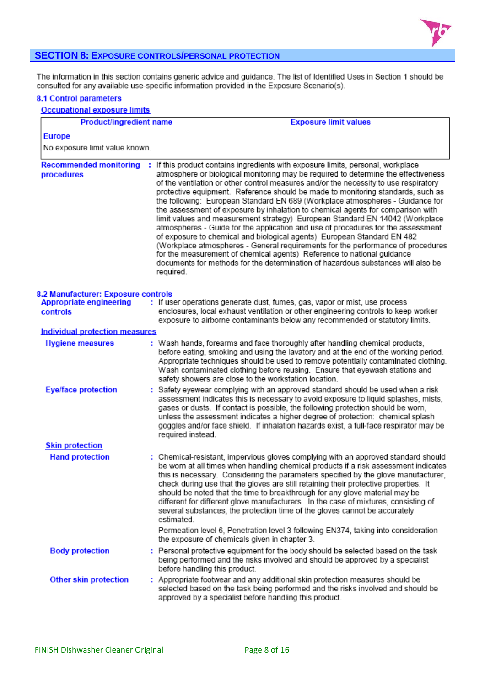

## **SECTION 8: EXPOSURE CONTROLS/PERSONAL PROTECTION**

The information in this section contains generic advice and quidance. The list of Identified Uses in Section 1 should be consulted for any available use-specific information provided in the Exposure Scenario(s).

#### **8.1 Control parameters Occupational exposure limits Product/ingredient name Exposure limit values Europe** No exposure limit value known. Recommended monitoring : If this product contains ingredients with exposure limits, personal, workplace procedures atmosphere or biological monitoring may be required to determine the effectiveness of the ventilation or other control measures and/or the necessity to use respiratory protective equipment. Reference should be made to monitoring standards, such as the following: European Standard EN 689 (Workplace atmospheres - Guidance for the assessment of exposure by inhalation to chemical agents for comparison with limit values and measurement strategy) European Standard EN 14042 (Workplace atmospheres - Guide for the application and use of procedures for the assessment of exposure to chemical and biological agents) European Standard EN 482 (Workplace atmospheres - General requirements for the performance of procedures for the measurement of chemical agents) Reference to national guidance documents for methods for the determination of hazardous substances will also be required. 8.2 Manufacturer: Exposure controls **Appropriate engineering** : If user operations generate dust, fumes, gas, vapor or mist, use process controls enclosures, local exhaust ventilation or other engineering controls to keep worker exposure to airborne contaminants below any recommended or statutory limits. **Individual protection measures** : Wash hands, forearms and face thoroughly after handling chemical products, **Hygiene measures** before eating, smoking and using the lavatory and at the end of the working period. Appropriate techniques should be used to remove potentially contaminated clothing. Wash contaminated clothing before reusing. Ensure that eyewash stations and safety showers are close to the workstation location. : Safety eyewear complying with an approved standard should be used when a risk **Eye/face protection** assessment indicates this is necessary to avoid exposure to liquid splashes, mists, gases or dusts. If contact is possible, the following protection should be worn, unless the assessment indicates a higher degree of protection: chemical splash goggles and/or face shield. If inhalation hazards exist, a full-face respirator may be required instead. **Skin protection Hand protection** : Chemical-resistant, impervious gloves complying with an approved standard should be worn at all times when handling chemical products if a risk assessment indicates this is necessary. Considering the parameters specified by the glove manufacturer. check during use that the gloves are still retaining their protective properties. It should be noted that the time to breakthrough for any glove material may be different for different glove manufacturers. In the case of mixtures, consisting of several substances, the protection time of the gloves cannot be accurately estimated. Permeation level 6, Penetration level 3 following EN374, taking into consideration

: Personal protective equipment for the body should be selected based on the task **Body protection** being performed and the risks involved and should be approved by a specialist before handling this product.

the exposure of chemicals given in chapter 3.

: Appropriate footwear and any additional skin protection measures should be **Other skin protection** selected based on the task being performed and the risks involved and should be approved by a specialist before handling this product.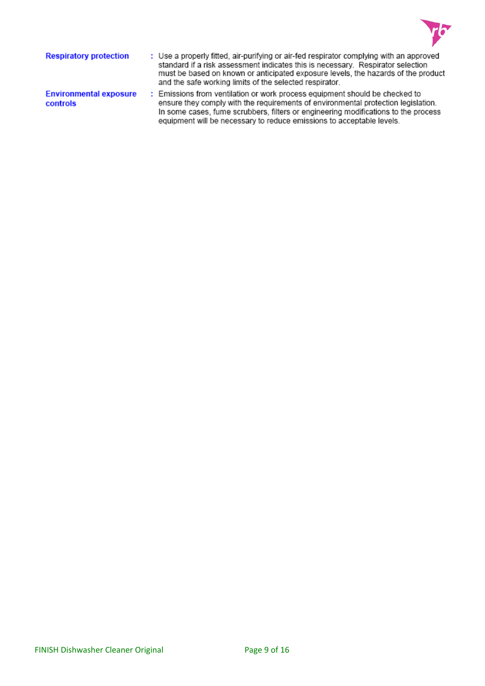

| <b>Respiratory protection</b>             | : Use a properly fitted, air-purifying or air-fed respirator complying with an approved<br>standard if a risk assessment indicates this is necessary. Respirator selection<br>must be based on known or anticipated exposure levels, the hazards of the product<br>and the safe working limits of the selected respirator.      |
|-------------------------------------------|---------------------------------------------------------------------------------------------------------------------------------------------------------------------------------------------------------------------------------------------------------------------------------------------------------------------------------|
| <b>Environmental exposure</b><br>controls | : Emissions from ventilation or work process equipment should be checked to<br>ensure they comply with the requirements of environmental protection legislation.<br>In some cases, fume scrubbers, filters or engineering modifications to the process<br>equipment will be necessary to reduce emissions to acceptable levels. |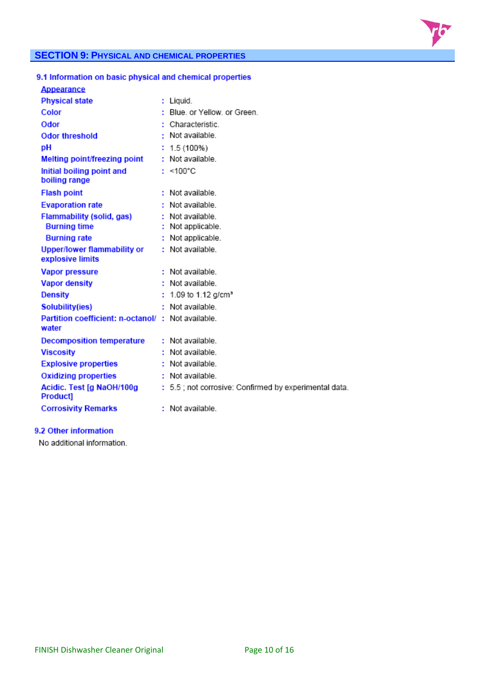

## **SECTION 9: PHYSICAL AND CHEMICAL PROPERTIES**

## 9.1 Information on basic physical and chemical properties

| <b>Appearance</b>                                          |                                                       |
|------------------------------------------------------------|-------------------------------------------------------|
| <b>Physical state</b>                                      | : Liquid.                                             |
| Color                                                      | : Blue, or Yellow, or Green.                          |
| Odor                                                       | : Characteristic                                      |
| <b>Odor threshold</b>                                      | $\cdot$ Not available.                                |
| рH                                                         | $: 1.5(100\%)$                                        |
| Melting point/freezing point                               | : Not available.                                      |
| Initial boiling point and<br>boiling range                 | : $<100^{\circ}$ C                                    |
| <b>Flash point</b>                                         | : Not available                                       |
| <b>Evaporation rate</b>                                    | : Not available.                                      |
| <b>Flammability (solid, gas)</b>                           | : Not available.                                      |
| <b>Burning time</b>                                        | Not applicable.                                       |
| <b>Burning rate</b>                                        | : Not applicable.                                     |
| <b>Upper/lower flammability or</b><br>explosive limits     | : Not available.                                      |
| <b>Vapor pressure</b>                                      | : Not available                                       |
| <b>Vapor density</b>                                       | : Not available.                                      |
| <b>Density</b>                                             | : 1.09 to 1.12 g/cm <sup>3</sup>                      |
| Solubility(ies)                                            | : Not available                                       |
| Partition coefficient: n-octanol/: Not available.<br>water |                                                       |
| <b>Decomposition temperature</b>                           | : Not available.                                      |
| <b>Viscosity</b>                                           | : Not available                                       |
| <b>Explosive properties</b>                                | : Not available.                                      |
| <b>Oxidizing properties</b>                                | $:$ Not available.                                    |
| Acidic. Test [g NaOH/100g<br>Product]                      | : 5.5 ; not corrosive: Confirmed by experimental data |
| <b>Corrosivity Remarks</b>                                 | : Not available                                       |
|                                                            |                                                       |

## 9.2 Other information

No additional information.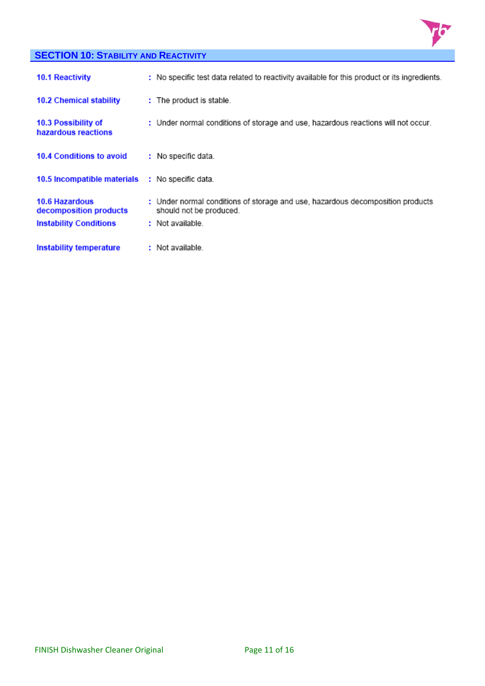

## **SECTION 10: STABILITY AND REACTIVITY**

| <b>10.1 Reactivity</b>                     | : No specific test data related to reactivity available for this product or its ingredients               |
|--------------------------------------------|-----------------------------------------------------------------------------------------------------------|
| <b>10.2 Chemical stability</b>             | : The product is stable.                                                                                  |
| 10.3 Possibility of<br>hazardous reactions | : Under normal conditions of storage and use, hazardous reactions will not occur.                         |
| <b>10.4 Conditions to avoid</b>            | : No specific data.                                                                                       |
| 10.5 Incompatible materials                | : No specific data.                                                                                       |
| 10.6 Hazardous<br>decomposition products   | : Under normal conditions of storage and use, hazardous decomposition products<br>should not be produced. |
| <b>Instability Conditions</b>              | : Not available.                                                                                          |
| Instability temperature                    | : Not available.                                                                                          |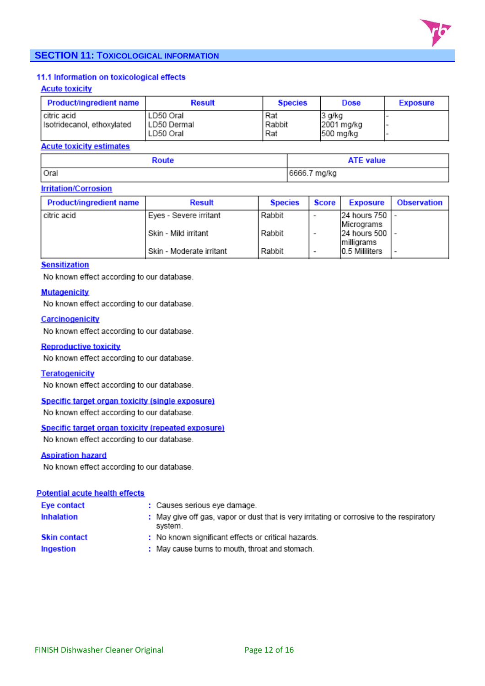

## **SECTION 11: TOXICOLOGICAL INFORMATION**

## 11.1 Information on toxicological effects

#### **Acute toxicity**

| Product/ingredient name                     | <b>Result</b>                           | <b>Species</b>       | <b>Dose</b>                       | <b>Exposure</b> |
|---------------------------------------------|-----------------------------------------|----------------------|-----------------------------------|-----------------|
| l citric acid<br>Isotridecanol, ethoxylated | LD50 Oral<br>l LD50 Dermal<br>LD50 Oral | Rat<br>Rabbit<br>Rat | 3 g/kg<br>2001 mg/kg<br>500 mg/kg |                 |

#### **Acute toxicity estimates**

| Route | <b>ATE value</b> |
|-------|------------------|
| Oral  | 6666.7 mg/kg     |

#### **Irritation/Corrosion**

| Product/ingredient name | <b>Result</b>            | <b>Species</b> | Score                    | <b>Exposure</b> | <b>Observation</b> |
|-------------------------|--------------------------|----------------|--------------------------|-----------------|--------------------|
| citric acid             | Eyes - Severe irritant   | Rabbit         | $\overline{\phantom{a}}$ | 24 hours 750  - |                    |
|                         |                          |                |                          | Micrograms      |                    |
|                         | i Skin - Mild irritant   | Rabbit         |                          | 24 hours 500    |                    |
|                         |                          |                |                          | milligrams      |                    |
|                         | Skin - Moderate irritant | Rabbit         | $\overline{\phantom{a}}$ | 10.5 Mililiters |                    |

## **Sensitization**

No known effect according to our database.

#### **Mutagenicity**

No known effect according to our database.

#### Carcinogenicity

No known effect according to our database.

#### **Reproductive toxicity**

No known effect according to our database.

#### **Teratogenicity**

No known effect according to our database.

#### Specific target organ toxicity (single exposure)

No known effect according to our database.

#### Specific target organ toxicity (repeated exposure)

No known effect according to our database.

#### **Aspiration hazard**

No known effect according to our database.

#### **Potential acute health effects**

| Eye contact         | : Causes serious eye damage.                                                                         |
|---------------------|------------------------------------------------------------------------------------------------------|
| Inhalation          | : May give off gas, vapor or dust that is very irritating or corrosive to the respiratory<br>system. |
| <b>Skin contact</b> | : No known significant effects or critical hazards.                                                  |
| Ingestion           | : May cause burns to mouth, throat and stomach.                                                      |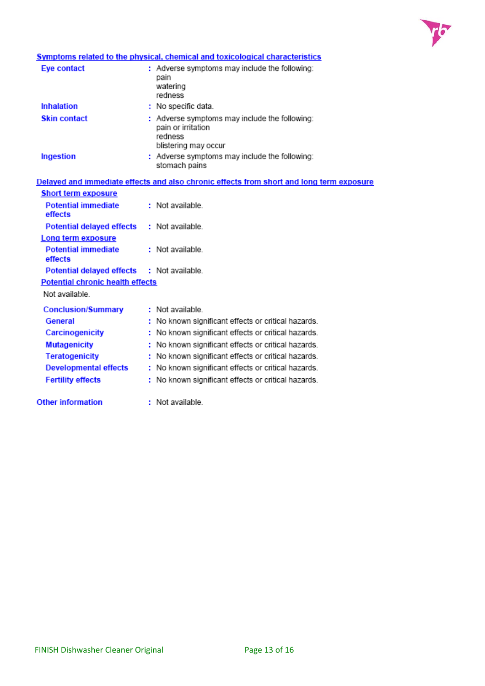

## **Symptoms related to the physical, chemical and toxicological characteristics**

| Eye contact         | : Adverse symptoms may include the following:<br>pain<br>watering<br>redness                           |
|---------------------|--------------------------------------------------------------------------------------------------------|
| Inhalation          | : No specific data.                                                                                    |
| <b>Skin contact</b> | : Adverse symptoms may include the following:<br>pain or irritation<br>redness<br>blistering may occur |
| Ingestion           | : Adverse symptoms may include the following:<br>stomach pains                                         |

|                                            | Delayed and immediate effects and also chronic effects from short and long term exposure |
|--------------------------------------------|------------------------------------------------------------------------------------------|
| <b>Short term exposure</b>                 |                                                                                          |
| <b>Potential immediate</b><br>effects      | : Not available                                                                          |
| Potential delayed effects : Not available. |                                                                                          |
| Long term exposure                         |                                                                                          |
| <b>Potential immediate</b><br>effects      | : Not available.                                                                         |
| Potential delayed effects : Not available. |                                                                                          |
| <b>Potential chronic health effects</b>    |                                                                                          |
| Not available.                             |                                                                                          |
| <b>Conclusion/Summary</b>                  | : Not available                                                                          |
| General                                    | : No known significant effects or critical hazards.                                      |
| Carcinogenicity                            | : No known significant effects or critical hazards.                                      |
| <b>Mutagenicity</b>                        | : No known significant effects or critical hazards.                                      |
| Teratogenicity                             | : No known significant effects or critical hazards.                                      |
| Developmental effects                      | : No known significant effects or critical hazards.                                      |
| <b>Fertility effects</b>                   | : No known significant effects or critical hazards.                                      |
| <b>Other information</b>                   | : Not available.                                                                         |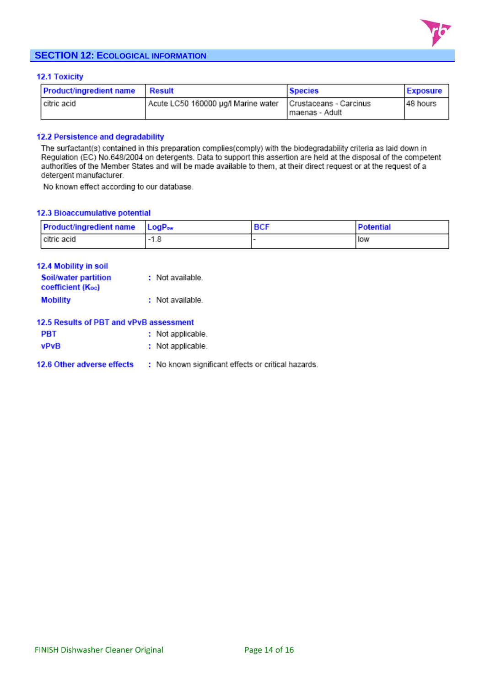

## **SECTION 12: ECOLOGICAL INFORMATION**

#### **12.1 Toxicity**

| <b>Product/ingredient name</b> | Result                                                       | <b>Species</b>  | Exposure  |
|--------------------------------|--------------------------------------------------------------|-----------------|-----------|
| l citric acid                  | Acute LC50 160000 µg/l Marine water   Crustaceans - Carcinus | Imaenas - Adult | 148 hours |

#### 12.2 Persistence and degradability

The surfactant(s) contained in this preparation complies(comply) with the biodegradability criteria as laid down in Regulation (EC) No.648/2004 on detergents. Data to support this assertion are held at the disposal of the competent authorities of the Member States and will be made available to them, at their direct request or at the request of a detergent manufacturer.

No known effect according to our database.

#### 12.3 Bioaccumulative potential

| <b>Product/ingredient name</b> | $\mathsf{LogP}_{\mathsf{ow}}$ | <b>BCF</b> | <b>Potential</b> |
|--------------------------------|-------------------------------|------------|------------------|
| citric acid                    | $-1.8$                        |            | low              |

| <b>12.4 Mobility in soil</b>                            |                  |
|---------------------------------------------------------|------------------|
| <b>Soil/water partition</b><br><b>coefficient (Koo)</b> | : Not available. |
| <b>Mobility</b>                                         | : Not available. |
|                                                         |                  |

## 12.5 Results of PBT and vPvB assessment

| <b>PBT</b>  | : Not applicable. |
|-------------|-------------------|
| <b>vPvB</b> | : Not applicable. |

#### 12.6 Other adverse effects : No known significant effects or critical hazards.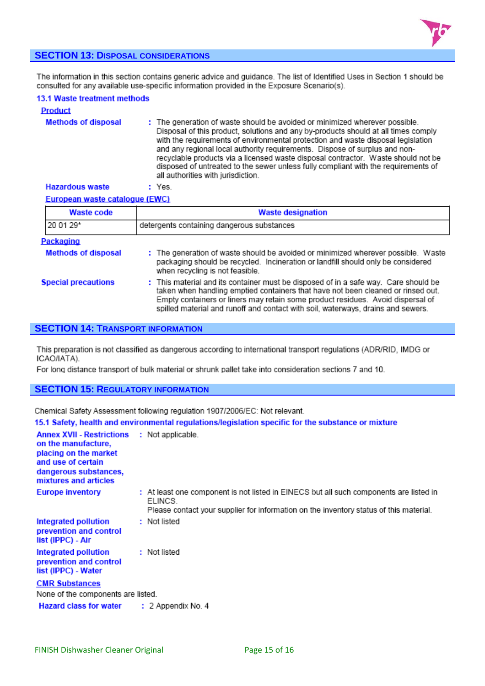

## **SECTION 13: DISPOSAL CONSIDERATIONS**

The information in this section contains generic advice and guidance. The list of Identified Uses in Section 1 should be consulted for any available use-specific information provided in the Exposure Scenario(s).

#### 13.1 Waste treatment methods **Product Methods of disposal** : The generation of waste should be avoided or minimized wherever possible. Disposal of this product, solutions and any by-products should at all times comply with the requirements of environmental protection and waste disposal legislation and any regional local authority requirements. Dispose of surplus and nonrecyclable products via a licensed waste disposal contractor. Waste should not be disposed of untreated to the sewer unless fully compliant with the requirements of all authorities with jurisdiction. **Hazardous waste** : Yes.

#### European waste catalogue (EWC)

| Waste code                 | <b>Waste designation</b>                                                                                                                                                                                                                                                                                                                       |
|----------------------------|------------------------------------------------------------------------------------------------------------------------------------------------------------------------------------------------------------------------------------------------------------------------------------------------------------------------------------------------|
| 120 01 29*                 | detergents containing dangerous substances                                                                                                                                                                                                                                                                                                     |
| Packaging                  |                                                                                                                                                                                                                                                                                                                                                |
| <b>Methods of disposal</b> | : The generation of waste should be avoided or minimized wherever possible. Waste<br>packaging should be recycled. Incineration or landfill should only be considered<br>when recycling is not feasible.                                                                                                                                       |
| <b>Special precautions</b> | : This material and its container must be disposed of in a safe way. Care should be<br>taken when handling emptied containers that have not been cleaned or rinsed out.<br>Empty containers or liners may retain some product residues. Avoid dispersal of<br>spilled material and runoff and contact with soil, waterways, drains and sewers. |

#### **SECTION 14: TRANSPORT INFORMATION**

This preparation is not classified as dangerous according to international transport regulations (ADR/RID, IMDG or ICAO/IATA).

For long distance transport of bulk material or shrunk pallet take into consideration sections 7 and 10.

## **SECTION 15: REGULATORY INFORMATION**

Chemical Safety Assessment following regulation 1907/2006/EC: Not relevant.

| 15.1 Safety, health and environmental regulations/legislation specific for the substance or mixture |  |  |  |  |  |  |  |
|-----------------------------------------------------------------------------------------------------|--|--|--|--|--|--|--|
|-----------------------------------------------------------------------------------------------------|--|--|--|--|--|--|--|

| <b>Annex XVII - Restrictions : Not applicable.</b><br>on the manufacture,<br>placing on the market<br>and use of certain<br>dangerous substances,<br>mixtures and articles |                                                                                                                                                                                             |
|----------------------------------------------------------------------------------------------------------------------------------------------------------------------------|---------------------------------------------------------------------------------------------------------------------------------------------------------------------------------------------|
| <b>Europe inventory</b>                                                                                                                                                    | : At least one component is not listed in EINECS but all such components are listed in<br>ELINCS.<br>Please contact your supplier for information on the inventory status of this material. |
| Integrated pollution<br>prevention and control<br>list (IPPC) - Air                                                                                                        | : Not listed                                                                                                                                                                                |
| Integrated pollution<br>prevention and control<br>list (IPPC) - Water                                                                                                      | : Not listed                                                                                                                                                                                |
| <b>CMR Substances</b><br>None of the components are listed.                                                                                                                |                                                                                                                                                                                             |
| <b>Hazard class for water : 2 Appendix No. 4</b>                                                                                                                           |                                                                                                                                                                                             |